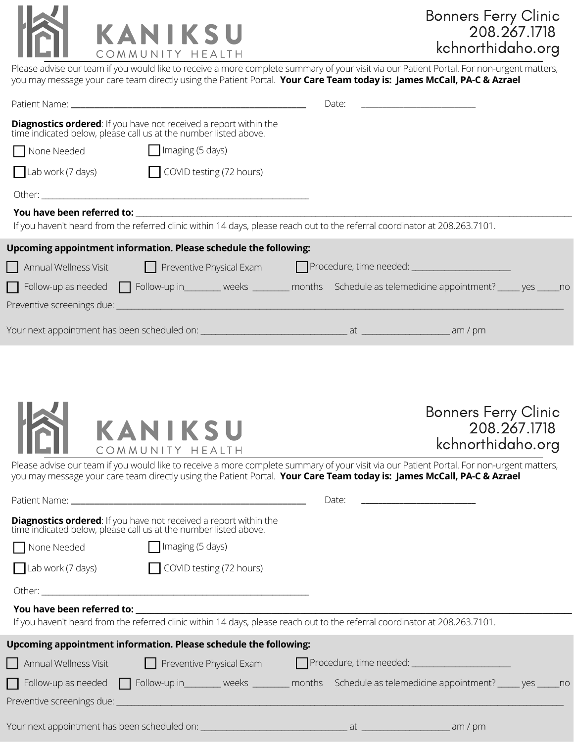

Please advise our team if you would like to receive a more complete summary of your visit via our Patient Portal. For non-urgent matters, you may message your care team directly using the Patient Portal. **Your Care Team today is: James McCall, PA-C & Azrael**

|             |                                                                                                                                           | Date:<br>the control of the control of the control of the control of the control of |  |  |  |  |
|-------------|-------------------------------------------------------------------------------------------------------------------------------------------|-------------------------------------------------------------------------------------|--|--|--|--|
|             | <b>Diagnostics ordered:</b> If you have not received a report within the time indicated below, please call us at the number listed above. |                                                                                     |  |  |  |  |
| None Needed | $\Box$ Imaging (5 days)                                                                                                                   |                                                                                     |  |  |  |  |
|             | Lab work (7 days) COVID testing (72 hours)                                                                                                |                                                                                     |  |  |  |  |
|             |                                                                                                                                           |                                                                                     |  |  |  |  |
|             | You have been referred to: will be a state of the state of the state of the state of the state of the state of                            |                                                                                     |  |  |  |  |
|             | If you haven't heard from the referred clinic within 14 days, please reach out to the referral coordinator at 208.263.7101.               |                                                                                     |  |  |  |  |
|             | Upcoming appointment information. Please schedule the following:                                                                          |                                                                                     |  |  |  |  |
|             | Annual Wellness Visit <b>Container Preventive Physical Exam</b> Procedure, time needed: Container Procedure, time needed:                 |                                                                                     |  |  |  |  |
|             | Follow-up as needed   Follow-up in________ weeks ________ months Schedule as telemedicine appointment? _____ yes _____ no                 |                                                                                     |  |  |  |  |
|             |                                                                                                                                           |                                                                                     |  |  |  |  |
|             |                                                                                                                                           |                                                                                     |  |  |  |  |



| <b>Bonners Ferry Clinic</b> |
|-----------------------------|
| 208.267.1718                |
| kchnorthidaho.org           |

Please advise our team if you would like to receive a more complete summary of your visit via our Patient Portal. For non-urgent matters, you may message your care team directly using the Patient Portal. **Your Care Team today is: James McCall, PA-C & Azrael**

| Patient Name: The contract of the contract of the contract of the contract of the contract of the contract of the contract of the contract of the contract of the contract of the contract of the contract of the contract of        |                         | Date: |  |  |
|--------------------------------------------------------------------------------------------------------------------------------------------------------------------------------------------------------------------------------------|-------------------------|-------|--|--|
| <b>Diagnostics ordered:</b> If you have not received a report within the time indicated below, please call us at the number listed above.                                                                                            |                         |       |  |  |
| None Needed                                                                                                                                                                                                                          | $\Box$ Imaging (5 days) |       |  |  |
| Lab work (7 days) COVID testing (72 hours)                                                                                                                                                                                           |                         |       |  |  |
|                                                                                                                                                                                                                                      |                         |       |  |  |
| <b>Solution Property Property Controller Solution Property Controller Solution Property Controller Solution Property Controller Solution Property Controller Solution Property Controller Solution Property Controller Solution </b> |                         |       |  |  |
| If you haven't heard from the referred clinic within 14 days, please reach out to the referral coordinator at 208.263.7101.                                                                                                          |                         |       |  |  |
| Upcoming appointment information. Please schedule the following:                                                                                                                                                                     |                         |       |  |  |
|                                                                                                                                                                                                                                      |                         |       |  |  |
| $\Box$ Follow-up as needed $\Box$ Follow-up in _______ weeks _______ months Schedule as telemedicine appointment? _____ yes _____ no                                                                                                 |                         |       |  |  |
|                                                                                                                                                                                                                                      |                         |       |  |  |
|                                                                                                                                                                                                                                      |                         |       |  |  |